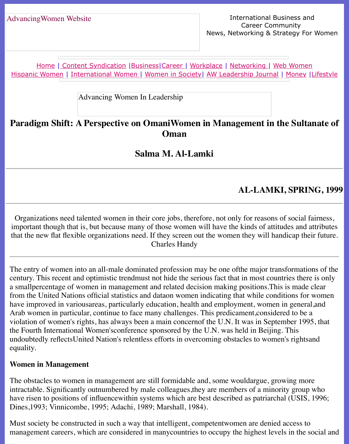Home | Content Syndication | Business | Career | Workplace | Networking | Web Wo Hispanic Women | International Women | Women in Society | AW Leadership Journal | Mon

Advancing Women In Leadership

# **Parad[igm S](http://www.advancingwomen.com/index.html)[hift: A Perspective](file:///content.html) [on Om](file:///business.html)[aniWo](file:///awcareer.html)[men in Ma](file:///workplace.html)[nagement i](file:///networks.html)n the S [Oman](file:///Users/nrahman/Google%20Drive/Dropbox/AWL/womsoc/index.html)**

# **Salma M. Al-Lamki**

# **AL-LAMKI, SP**

Organizations need talented women in their core jobs, therefore, not only for reasons of soc important though that is, but because many of those women will have the kinds of attitudes that the new flat flexible organizations need. If they screen out the women they will handicap Charles Handy

The entry of women into an all-male dominated profession may be one of the major transform century. This recent and optimistic trendmust not hide the serious fact that in most countries a smallpercentage of women in management and related decision making positions. This is m from the United Nations official statistics and dataon women indicating that while conditions have improved in variousareas, particularly education, health and employment, women in ge Arab women in particular, continue to face many challenges. This predicament, considered to violation of women's rights, has always been a main concernof the U.N. It was in September the Fourth International Women'sconference sponsored by the U.N. was held in Beijing. This undoubtedly reflectsUnited Nation's relentless efforts in overcoming obstacles to women's right equality.

#### **Women in Management**

The obstacles to women in management are still formidable and, some wouldargue, growing intractable. Significantly outnumbered by male colleagues, they are members of a minority gi have risen to positions of influencewithin systems which are best described as patriarchal (U Dines,1993; Vinnicombe, 1995; Adachi, 1989; Marshall, 1984).

Must society be constructed in such a way that intelligent, competentwomen are denied acce management careers, which are considered in manycountries to occupy the highest levels in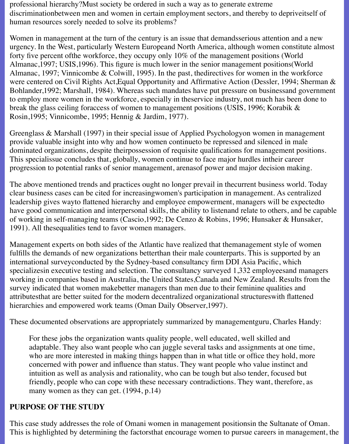professional hierarchy?Must society be ordered in such a way as to generate extreme discriminationbetween men and women in certain employment sectors, and thereby to depriveitself of human resources sorely needed to solve its problems?

Women in management at the turn of the century is an issue that demandsserious attention and a new urgency. In the West, particularly Western Europeand North America, although women constitute almost forty five percent ofthe workforce, they occupy only 10% of the management positions (World Almanac,1997; USIS,1996). This figure is much lower in the senior management positions(World Almanac, 1997; Vinnicombe & Colwill, 1995). In the past, thedirectives for women in the workforce were centered on Civil Rights Act,Equal Opportunity and Affirmative Action (Dessler, 1994; Sherman & Bohlander,1992; Marshall, 1984). Whereas such mandates have put pressure on businessand government to employ more women in the workforce, especially in theservice industry, not much has been done to break the glass ceiling foraccess of women to management positions (USIS, 1996; Korabik & Rosin,1995; Vinnicombe, 1995; Hennig & Jardim, 1977).

Greenglass & Marshall (1997) in their special issue of Applied Psychologyon women in management provide valuable insight into why and how women continueto be repressed and silenced in male dominated organizations, despite theirpossession of requisite qualifications for management positions. This specialissue concludes that, globally, women continue to face major hurdles intheir career progression to potential ranks of senior management, arenasof power and major decision making.

The above mentioned trends and practices ought no longer prevail in thecurrent business world. Today clear business cases can be cited for increasingwomen's participation in management. As centralized leadership gives wayto flattened hierarchy and employee empowerment, managers will be expectedto have good communication and interpersonal skills, the ability to listenand relate to others, and be capable of working in self-managing teams (Cascio,1992; De Cenzo & Robins, 1996; Hunsaker & Hunsaker, 1991). All thesequalities tend to favor women managers.

Management experts on both sides of the Atlantic have realized that themanagement style of women fulfills the demands of new organizations betterthan their male counterparts. This is supported by an international surveyconducted by the Sydney-based consultancy firm DDI Asia Pacific, which specializesin executive testing and selection. The consultancy surveyed 1,332 employeesand managers working in companies based in Australia, the United States,Canada and New Zealand. Results from the survey indicated that women makebetter managers than men due to their feminine qualities and attributesthat are better suited for the modern decentralized organizational structureswith flattened hierarchies and empowered work teams (Oman Daily Observer,1997).

These documented observations are appropriately summarized by managementguru, Charles Handy:

For these jobs the organization wants quality people, well educated, well skilled and adaptable. They also want people who can juggle several tasks and assignments at one time, who are more interested in making things happen than in what title or office they hold, more concerned with power and influence than status. They want people who value instinct and intuition as well as analysis and rationality, who can be tough but also tender, focused but friendly, people who can cope with these necessary contradictions. They want, therefore, as many women as they can get. (1994, p.14)

## **PURPOSE OF THE STUDY**

This case study addresses the role of Omani women in management positionsin the Sultanate of Oman. This is highlighted by determining the factorsthat encourage women to pursue careers in management, the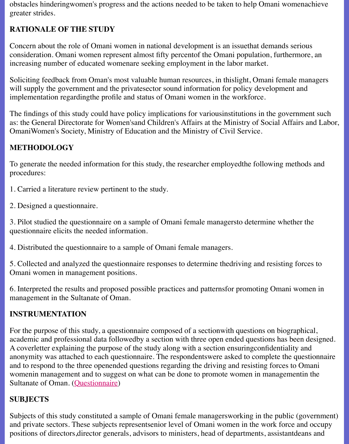increasing number of educated womenare seeking employment in the labor market.

Soliciting feedback from Oman's most valuable human resources, in thislight, Omani female will supply the government and the private sector sound information for policy development implementation regardingthe profile and status of Omani women in the workforce.

The findings of this study could have policy implications for various institutions in the governe as: the General Directorate for Women's and Children's Affairs at the Ministry of Social Affa OmaniWomen's Society, Ministry of Education and the Ministry of Civil Service.

# **METHODOLOGY**

To generate the needed information for this study, the researcher employed the following met procedures:

1. Carried a literature review pertinent to the study.

2. Designed a questionnaire.

3. Pilot studied the questionnaire on a sample of Omani female managersto determine wheth questionnaire elicits the needed information.

4. Distributed the questionnaire to a sample of Omani female managers.

5. Collected and analyzed the questionnaire responses to determine thedriving and resisting for Omani women in management positions.

6. Interpreted the results and proposed possible practices and patternsfor promoting Omani v management in the Sultanate of Oman.

## **INSTRUMENTATION**

For the purpose of this study, a questionnaire composed of a section with questions on biographical, academic and professional data followedby a section with three open ended questions has be A coverletter explaining the purpose of the study along with a section ensuring confidentiality anonymity was attached to each questionnaire. The respondentswere asked to complete the c and to respond to the three openended questions regarding the driving and resisting forces to womenin management and to suggest on what can be done to promote women in management Sultanate of Oman. (Questionnaire)

# **SUBJECTS**

Subjects of this study constituted a sample of Omani female managersworking in the public and private sectors. These subjects representsenior level of Omani women in the work force positions of directors, director generals, advisors to ministers, head of departments, assistantd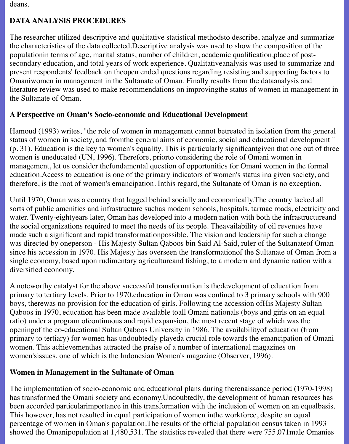deans.

## **DATA ANALYSIS PROCEDURES**

The researcher utilized descriptive and qualitative statistical methodsto describe, analyze and summarize the characteristics of the data collected.Descriptive analysis was used to show the composition of the populationin terms of age, marital status, number of children, academic qualification,place of postsecondary education, and total years of work experience. Qualitativeanalysis was used to summarize and present respondents' feedback on theopen ended questions regarding resisting and supporting factors to Omaniwomen in management in the Sultanate of Oman. Finally results from the dataanalysis and literature review was used to make recommendations on improvingthe status of women in management in the Sultanate of Oman.

## **A Perspective on Oman's Socio-economic and Educational Development**

Hamoud (1993) writes, "the role of women in management cannot betreated in isolation from the general status of women in society, and fromthe general aims of economic, social and educational development " (p. 31). Education is the key to women's equality. This is particularly significantgiven that one out of three women is uneducated (UN, 1996). Therefore, priorto considering the role of Omani women in management, let us consider thefundamental question of opportunities for Omani women in the formal education.Access to education is one of the primary indicators of women's status ina given society, and therefore, is the root of women's emancipation. Inthis regard, the Sultanate of Oman is no exception.

Until 1970, Oman was a country that lagged behind socially and economically.The country lacked all sorts of public amenities and infrastructure suchas modern schools, hospitals, tarmac roads, electricity and water. Twenty-eightyears later, Oman has developed into a modern nation with both the infrastructureand the social organizations required to meet the needs of its people. Theavailability of oil revenues have made such a significant and rapid transformationpossible. The vision and leadership for such a change was directed by oneperson - His Majesty Sultan Qaboos bin Said Al-Said, ruler of the Sultanateof Oman since his accession in 1970. His Majesty has overseen the transformationof the Sultanate of Oman from a single economy, based upon rudimentary agricultureand fishing, to a modern and dynamic nation with a diversified economy.

A noteworthy catalyst for the above successful transformation is thedevelopment of education from primary to tertiary levels. Prior to 1970,education in Oman was confined to 3 primary schools with 900 boys, therewas no provision for the education of girls. Following the accession ofHis Majesty Sultan Qaboos in 1970, education has been made available toall Omani nationals (boys and girls on an equal ratio) under a program ofcontinuous and rapid expansion, the most recent stage of which was the openingof the co-educational Sultan Qaboos University in 1986. The availabilityof education (from primary to tertiary) for women has undoubtedly playeda crucial role towards the emancipation of Omani women. This achievementhas attracted the praise of a number of international magazines on women'sissues, one of which is the Indonesian Women's magazine (Observer, 1996).

## **Women in Management in the Sultanate of Oman**

The implementation of socio-economic and educational plans during therenaissance period (1970-1998) has transformed the Omani society and economy.Undoubtedly, the development of human resources has been accorded particularimportance in this transformation with the inclusion of women on an equalbasis. This however, has not resulted in equal participation of women inthe workforce, despite an equal percentage of women in Oman's population.The results of the official population census taken in 1993 showed the Omanipopulation at 1,480,531. The statistics revealed that there were 755,071male Omanies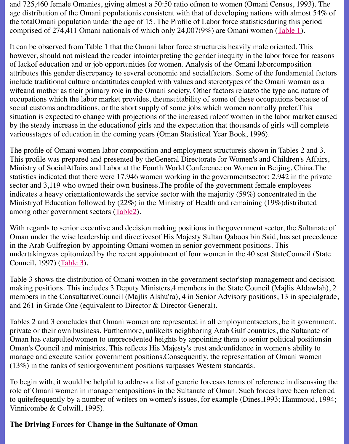of lackof education and or job opportunities for women. Analysis of the Omani laborcompos attributes this gender discrepancy to several economic and socialfactors. Some of the fundan include traditional culture andattitudes coupled with values and stereotypes of the Omani wo wifeand mother as their primary role in the Omani society. Other factors relateto the type and occupations which the labor market provides, theunsuitability of some of these occupations because of social customs andtraditions, or the short supply of some jobs which women normally prefer. situation is expected to change with projections of the increased roleof women in the labor n by the steady increase in the education f girls and the expectation that thousands of girls will variousstages of education in the coming years (Oman Statistical Year Book, 1996).

The profile of Omani women labor composition and employment structureis shown in Tables This profile was prepared and presented by the General Directorate for Women's and Children Ministry of SocialAffairs and Labor at the Fourth World Conference on Women in Beijing, China. statistics indicated that there were  $17,946$  women working in the governmentsector;  $2,942$  in sector and  $3,119$  who owned their own business. The profile of the government female employees indicates a heavy orientationtowards the service sector with the majority  $(59%)$  concentrated Ministryof Education followed by  $(22%)$  in the Ministry of Health and remaining  $(19%)$ distr among other government sectors (Table2).

With regards to senior executive and decision making positions in thegovernment sector, the Oman under the wise leadership and directives of His Majesty Sultan Qaboos bin Said, has set precedence in the Arab Gulfregion by appointing Omani women in senior government positions. This undertakingwas epitomized by the recent appointment of four women in the 40 seat StateCouncil Council, 1997) (Table 3).

Table 3 shows the distribution of [Omani w](file:///Users/nrahman/Google%20Drive/Dropbox/AWL/AWL%20Aug3/spring99/Al-Lamki/alltb2.html)omen in the government sector'stop management making positions. This includes 3 Deputy Ministers, 4 members in the State Council (Majlis) members in the ConsultativeCouncil (Majlis Alshu'ra), 4 in Senior Advisory positions, 13 in and 261 in Grade One (equivalent to Director & Director General).

Tables 2 and 3 c[onclude](file:///Users/nrahman/Google%20Drive/Dropbox/AWL/AWL%20Aug3/spring99/Al-Lamki/alltb3.html)s that Omani women are represented in all employment sectors, be it private or their own business. Furthermore, unlikeits neighboring Arab Gulf countries, the Sultanate of the Su Oman has catapultedwomen to unprecedented heights by appointing them to senior political Oman's Council and ministries. This reflects His Majesty's trust and onfidence in women's a manage and execute senior government positions. Consequently, the representation of Omani (13%) in the ranks of seniorgovernment positions surpasses Western standards.

To begin with, it would be helpful to address a list of generic forcesas terms of reference in discussion role of Omani women in management positions in the Sultanate of Oman. Such forces have beto quitefrequently by a number of writers on women's issues, for example (Dines, 1993; Ham Vinnicombe & Colwill, 1995).

### **The Driving Forces for Change in the Sultanate of Oman**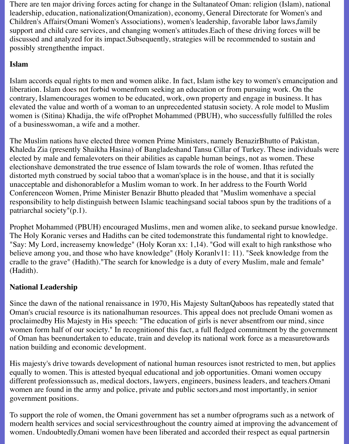There are ten major driving forces acting for change in the Sultanateof Oman: religion (Islam), national leadership, education, nationalization(Omanization), economy, General Directorate for Women's and Children's Affairs(Omani Women's Associations), women's leadership, favorable labor laws,family support and child care services, and changing women's attitudes.Each of these driving forces will be discussed and analyzed for its impact.Subsequently, strategies will be recommended to sustain and possibly strengthenthe impact.

# **Islam**

Islam accords equal rights to men and women alike. In fact, Islam isthe key to women's emancipation and liberation. Islam does not forbid womenfrom seeking an education or from pursuing work. On the contrary, Islamencourages women to be educated, work, own property and engage in business. It has elevated the value and worth of a woman to an unprecedented statusin society. A role model to Muslim women is (Sitina) Khadija, the wife ofProphet Mohammed (PBUH), who successfully fulfilled the roles of a businesswoman, a wife and a mother.

The Muslim nations have elected three women Prime Ministers, namely BenazirBhutto of Pakistan, Khaleda Zia (presently Shaikha Hasina) of Bangladeshand Tansu Cillar of Turkey. These individuals were elected by male and femalevoters on their abilities as capable human beings, not as women. These electionshave demonstrated the true essence of Islam towards the role of women. Ithas refuted the distorted myth construed by social taboo that a woman'splace is in the house, and that it is socially unacceptable and dishonorablefor a Muslim woman to work. In her address to the Fourth World Conferenceon Women, Prime Minister Benazir Bhutto pleaded that "Muslim womenhave a special responsibility to help distinguish between Islamic teachingsand social taboos spun by the traditions of a patriarchal society"(p.1).

Prophet Mohammed (PBUH) encouraged Muslims, men and women alike, to seekand pursue knowledge. The Holy Koranic verses and Hadiths can be cited todemonstrate this fundamental right to knowledge. "Say: My Lord, increasemy knowledge" (Holy Koran xx: 1,14). "God will exalt to high ranksthose who believe among you, and those who have knowledge" (Holy Koranlv11: 11). "Seek knowledge from the cradle to the grave" (Hadith)."The search for knowledge is a duty of every Muslim, male and female" (Hadith).

# **National Leadership**

Since the dawn of the national renaissance in 1970, His Majesty SultanQaboos has repeatedly stated that Oman's crucial resource is its nationalhuman resources. This appeal does not preclude Omani women as proclaimedby His Majesty in His speech: "The education of girls is never absentfrom our mind, since women form half of our society." In recognitionof this fact, a full fledged commitment by the government of Oman has beenundertaken to educate, train and develop its national work force as a measuretowards nation building and economic development.

His majesty's drive towards development of national human resources isnot restricted to men, but applies equally to women. This is attested byequal educational and job opportunities. Omani women occupy different professionssuch as, medical doctors, lawyers, engineers, business leaders, and teachers.Omani women are found in the army and police, private and public sectors,and most importantly, in senior government positions.

To support the role of women, the Omani government has set a number ofprograms such as a network of modern health services and social servicesthroughout the country aimed at improving the advancement of women. Undoubtedly,Omani women have been liberated and accorded their respect as equal partnersin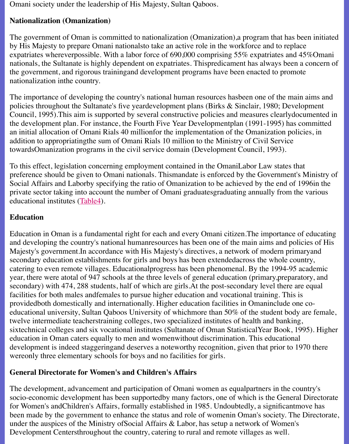nationals, the Sultanate is highly dependent on expatriates. Thispredicament has always been the government, and rigorous trainingand development programs have been enacted to prom nationalization inthe country.

The importance of developing the country's national human resources hasbeen one of the ma policies throughout the Sultanate's five yeardevelopment plans (Birks  $&$  Sinclair, 1980; Deve Council, 1995). This aim is supported by several constructive policies and measures clearly dependent the development plan. For instance, the Fourth Five Year Developmentplan (1991-1995) has an initial allocation of Omani Rials 40 millionfor the implementation of the Omanization pol addition to appropriatingthe sum of Omani Rials 10 million to the Ministry of Civil Service towardsOmanization programs in the civil service domain (Development Council, 1993).

To this effect, legislation concerning employment contained in the OmaniLabor Law states that preference should be given to Omani nationals. Thismandate is enforced by the Government Social Affairs and Laborby specifying the ratio of Omanization to be achieved by the end of private sector taking into account the number of Omani graduatesgraduating annually from t educational institutes (Table4).

### **Education**

Education in Oman is a fundamental right for each and every Omani citizen. The importance and developing the country's national humanresources has been one of the main aims and po Majesty's government.In accordance with His Majesty's directives, a network of modern prin secondary education e[stablish](file:///Users/nrahman/Google%20Drive/Dropbox/AWL/AWL%20Aug3/spring99/Al-Lamki/alltb4.html)ments for girls and boys has been extended across the whole co catering to even remote villages. Educational progress has been phenomenal. By the 1994-95 year, there were atotal of 947 schools at the three levels of general education (primary, prepar secondary) with 474, 288 students, half of which are girls. At the post-secondary level there a facilities for both males and females to pursue higher education and vocational training. This providedboth domestically and internationally. Higher education facilities in Omaninclude on educational university, Sultan Qaboos University of whichmore than 50% of the student bod twelve intermediate teacherstraining colleges, two specialized institutes of health and banking sixtechnical colleges and six vocational institutes (Sultanate of Oman Statistical Year Book, 1 education in Oman caters equally to men and womenwithout discrimination. This educational development is indeed staggeringand deserves a noteworthy recognition, given that prior to 1 wereonly three elementary schools for boys and no facilities for girls.

### **General Directorate for Women's and Children's Affairs**

The development, advancement and participation of Omani women as equalpartners in the countersocio-economic development has been supportedby many factors, one of which is the General for Women's andChildren's Affairs, formally established in 1985. Undoubtedly, a significanti been made by the government to enhance the status and role of womenin Oman's society. The Directorate, and  $\alpha$ under the auspices of the Ministry of Social Affairs & Labor, has setup a network of Women' Development Centersthroughout the country, catering to rural and remote villages as well.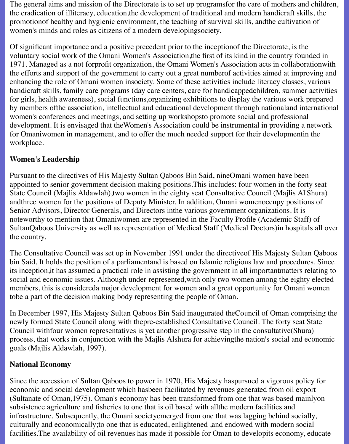The general aims and mission of the Directorate is to set up programsfor the care of mothers and children, the eradication of illiteracy, education,the development of traditional and modern handicraft skills, the promotionof healthy and hygienic environment, the teaching of survival skills, andthe cultivation of women's minds and roles as citizens of a modern developingsociety.

Of significant importance and a positive precedent prior to the inceptionof the Directorate, is the voluntary social work of the Omani Women's Association,the first of its kind in the country founded in 1971. Managed as a not forprofit organization, the Omani Women's Association acts in collaborationwith the efforts and support of the government to carry out a great numberof activities aimed at improving and enhancing the role of Omani women insociety. Some of these activities include literacy classes, various handicraft skills, family care programs (day care centers, care for handicappedchildren, summer activities for girls, health awareness), social functions,organizing exhibitions to display the various work prepared by members ofthe association, intellectual and educational development through nationaland international women's conferences and meetings, and setting up workshopsto promote social and professional development. It is envisaged that theWomen's Association could be instrumental in providing a network for Omaniwomen in management, and to offer the much needed support for their developmentin the workplace.

## **Women's Leadership**

Pursuant to the directives of His Majesty Sultan Qaboos Bin Said, nineOmani women have been appointed to senior government decision making positions.This includes: four women in the forty seat State Council (Majlis Aldawlah),two women in the eighty seat Consultative Council (Majlis Al'Shura) andthree women for the positions of Deputy Minister. In addition, Omani womenoccupy positions of Senior Advisors, Director Generals, and Directors inthe various government organizations. It is noteworthy to mention that Omaniwomen are represented in the Faculty Profile (Academic Staff) of SultanQaboos University as well as representation of Medical Staff (Medical Doctors)in hospitals all over the country.

The Consultative Council was set up in November 1991 under the directiveof His Majesty Sultan Qaboos bin Said. It holds the position of a parliamentand is based on Islamic religious law and procedures. Since its inception,it has assumed a practical role in assisting the government in all importantmatters relating to social and economic issues. Although under-represented,with only two women among the eighty elected members, this is considereda major development for women and a great opportunity for Omani women tobe a part of the decision making body representing the people of Oman.

In December 1997, His Majesty Sultan Qaboos Bin Said inaugurated theCouncil of Oman comprising the newly formed State Council along with thepre-established Consultative Council. The forty seat State Council withfour women representatives is yet another progressive step in the consultative(Shura) process, that works in conjunction with the Majlis Alshura for achievingthe nation's social and economic goals (Majlis Aldawlah, 1997).

## **National Economy**

Since the accession of Sultan Qaboos to power in 1970, His Majesty haspursued a vigorous policy for economic and social development which hasbeen facilitated by revenues generated from oil export (Sultanate of Oman,1975). Oman's economy has been transformed from one that was based mainlyon subsistence agriculture and fisheries to one that is oil based with allthe modern facilities and infrastructure. Subsequently, the Omani societyemerged from one that was lagging behind socially, culturally and economically;to one that is educated, enlightened ,and endowed with modern social facilities.The availability of oil revenues has made it possible for Oman to developits economy, educate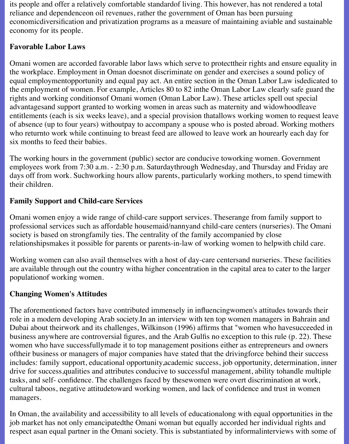its people and offer a relatively comfortable standardof living. This however, has not rendered a total reliance and dependenceon oil revenues, rather the government of Oman has been pursuing economicdiversification and privatization programs as a measure of maintaining aviable and sustainable economy for its people.

### **Favorable Labor Laws**

Omani women are accorded favorable labor laws which serve to protecttheir rights and ensure equality in the workplace. Employment in Oman doesnot discriminate on gender and exercises a sound policy of equal employmentopportunity and equal pay act. An entire section in the Oman Labor Law isdedicated to the employment of women. For example, Articles 80 to 82 inthe Oman Labor Law clearly safe guard the rights and working conditionsof Omani women (Oman Labor Law). These articles spell out special advantagesand support granted to working women in areas such as maternity and widowhoodleave entitlements (each is six weeks leave), and a special provision thatallows working women to request leave of absence (up to four years) withoutpay to accompany a spouse who is posted abroad. Working mothers who returnto work while continuing to breast feed are allowed to leave work an hourearly each day for six months to feed their babies.

The working hours in the government (public) sector are conducive toworking women. Government employees work from 7:30 a.m. - 2:30 p.m. Saturdaythrough Wednesday, and Thursday and Friday are days off from work. Suchworking hours allow parents, particularly working mothers, to spend timewith their children.

## **Family Support and Child-care Services**

Omani women enjoy a wide range of child-care support services. Theserange from family support to professional services such as affordable housemaid/nannyand child-care centers (nurseries). The Omani society is based on strongfamily ties. The centrality of the family accompanied by close relationshipsmakes it possible for parents or parents-in-law of working women to helpwith child care.

Working women can also avail themselves with a host of day-care centersand nurseries. These facilities are available through out the country witha higher concentration in the capital area to cater to the larger populationof working women.

# **Changing Women's Attitudes**

The aforementioned factors have contributed immensely in influencingwomen's attitudes towards their role in a modern developing Arab society.In an interview with ten top women managers in Bahrain and Dubai about theirwork and its challenges, Wilkinson (1996) affirms that "women who havesucceeded in business anywhere are controversial figures, and the Arab Gulfis no exception to this rule (p. 22). These women who have successfullymade it to top management positions either as entrepreneurs and owners oftheir business or managers of major companies have stated that the drivingforce behind their success includes: family support, educational opportunity,academic success, job opportunity, determination, inner drive for success,qualities and attributes conducive to successful management, ability tohandle multiple tasks, and self- confidence. The challenges faced by thesewomen were overt discrimination at work, cultural taboos, negative attitudetoward working women, and lack of confidence and trust in women managers.

In Oman, the availability and accessibility to all levels of educationalong with equal opportunities in the job market has not only emancipatedthe Omani woman but equally accorded her individual rights and respect asan equal partner in the Omani society. This is substantiated by informalinterviews with some of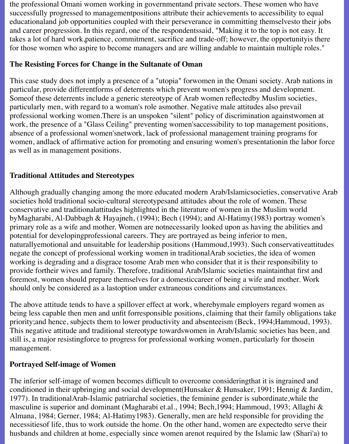the professional Omani women working in governmentand private sectors. These women who have successfully progressed to managementpositions attribute their achievements to accessibility to equal educationaland job opportunities coupled with their perseverance in committing themselvesto their jobs and career progression. In this regard, one of the respondentssaid, "Making it to the top is not easy. It takes a lot of hard work,patience, commitment, sacrifice and trade-off; however, the opportunityis there for those women who aspire to become managers and are willing andable to maintain multiple roles."

### **The Resisting Forces for Change in the Sultanate of Oman**

This case study does not imply a presence of a "utopia" forwomen in the Omani society. Arab nations in particular, provide differentforms of deterrents which prevent women's progress and development. Someof these deterrents include a generic stereotype of Arab women reflectedby Muslim societies, particularly men, with regard to a woman's role asmother. Negative male attitudes also prevail professional working women.There is an unspoken "silent" policy of discrimination againstwomen at work, the presence of a "Glass Ceiling" preventing women'saccessibility to top management positions, absence of a professional women'snetwork, lack of professional management training programs for women, andlack of affirmative action for promoting and ensuring women's presentationin the labor force as well as in management positions.

## **Traditional Attitudes and Stereotypes**

Although gradually changing among the more educated modern Arab/Islamicsocieties, conservative Arab societies hold traditional socio-cultural stereotypesand attitudes about the role of women. These conservative and traditionalattitudes highlighted in the literature of women in the Muslim world byMagharabi, Al-Dabbagh & Hayajneh, (1994); Bech (1994); and Al-Hatimy(1983) portray women's primary role as a wife and mother. Women are notnecessarily looked upon as having the abilities and potential for developingprofessional careers. They are portrayed as being inferior to men, naturallyemotional and unsuitable for leadership positions (Hammoud,1993). Such conservativeattitudes negate the concept of professional working women in traditionalArab societies, the idea of women working is degrading and a disgrace tosome Arab men who consider that it is their responsibility to provide fortheir wives and family. Therefore, traditional Arab/Islamic societies maintainthat first and foremost, women should prepare themselves for a domesticcareer of being a wife and mother. Work should only be considered as a lastoption under extraneous conditions and circumstances.

The above attitude tends to have a spillover effect at work, wherebymale employers regard women as being less capable then men and unfit forresponsible positions, claiming that their family obligations take priority;and hence, subjects them to lower productivity and absenteeism (Beck, 1994;Hammoud, 1993). This negative attitude and traditional stereotype towardswomen in Arab/Islamic societies has been, and still is, a major resistingforce to progress for professional working women, particularly for thosein management.

#### **Portrayed Self-image of Women**

The inferior self-image of women becomes difficult to overcome consideringthat it is ingrained and conditioned in their upbringing and social development(Hunsaker & Hunsaker, 1991; Hennig & Jardim, 1977). In traditionalArab-Islamic patriarchal societies, the feminine gender is subordinate,while the masculine is superior and dominant (Magharabi et.al., 1994; Bech,1994; Hammoud, 1993; Allaghi & Almana, 1984; Gerner, 1984; Al-Hatimy1983). Generally, men are held responsible for providing the necessitiesof life, thus to work outside the home. On the other hand, women are expectedto serve their husbands and children at home, especially since women arenot required by the Islamic law (Shari'a) to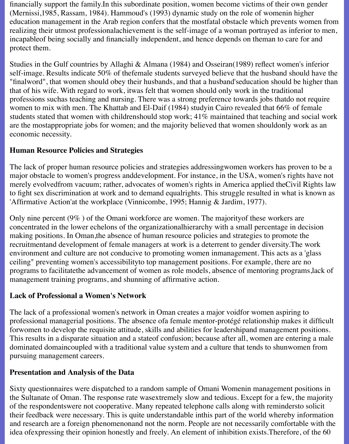financially support the family.In this subordinate position, women become victims of their own gender (Mernissi,1985, Rassam, 1984). Hammoud's (1993) dynamic study on the role of womenin higher education management in the Arab region confers that the mostfatal obstacle which prevents women from realizing their utmost professionalachievement is the self-image of a woman portrayed as inferior to men, incapableof being socially and financially independent, and hence depends on theman to care for and protect them.

Studies in the Gulf countries by Allaghi & Almana (1984) and Osseiran(1989) reflect women's inferior self-image. Results indicate 50% of thefemale students surveyed believe that the husband should have the "finalword", that women should obey their husbands, and that a husband'seducation should be higher than that of his wife. With regard to work, itwas felt that women should only work in the traditional professions suchas teaching and nursing. There was a strong preference towards jobs thatdo not require women to mix with men. The Khattab and El-Daif (1984) studyin Cairo revealed that 66% of female students stated that women with childrenshould stop work; 41% maintained that teaching and social work are the mostappropriate jobs for women; and the majority believed that women shouldonly work as an economic necessity.

### **Human Resource Policies and Strategies**

The lack of proper human resource policies and strategies addressingwomen workers has proven to be a major obstacle to women's progress anddevelopment. For instance, in the USA, women's rights have not merely evolvedfrom vacuum; rather, advocates of women's rights in America applied theCivil Rights law to fight sex discrimination at work and to demand equalrights. This struggle resulted in what is known as 'Affirmative Action'at the workplace (Vinnicombe, 1995; Hannig & Jardim, 1977).

Only nine percent (9% ) of the Omani workforce are women. The majorityof these workers are concentrated in the lower echelons of the organizationalhierarchy with a small percentage in decision making positions. In Oman,the absence of human resource policies and strategies to promote the recruitmentand development of female managers at work is a deterrent to gender diversity.The work environment and culture are not conducive to promoting women inmanagement. This acts as a 'glass ceiling" preventing women's accessibilityto top management positions. For example, there are no programs to facilitatethe advancement of women as role models, absence of mentoring programs,lack of management training programs, and shunning of affirmative action.

## **Lack of Professional a Women's Network**

The lack of a professional women's network in Oman creates a major voidfor women aspiring to professional managerial positions. The absence ofa female mentor-protégé relationship makes it difficult forwomen to develop the requisite attitude, skills and abilities for leadershipand management positions. This results in a disparate situation and a stateof confusion; because after all, women are entering a male dominated domaincoupled with a traditional value system and a culture that tends to shunwomen from pursuing management careers.

#### **Presentation and Analysis of the Data**

Sixty questionnaires were dispatched to a random sample of Omani Womenin management positions in the Sultanate of Oman. The response rate wasextremely slow and tedious. Except for a few, the majority of the respondentswere not cooperative. Many repeated telephone calls along with remindersto solicit their feedback were necessary. This is quite understandable inthis part of the world whereby information and research are a foreign phenomenonand not the norm. People are not necessarily comfortable with the idea ofexpressing their opinion honestly and freely. An element of inhibition exists.Therefore, of the 60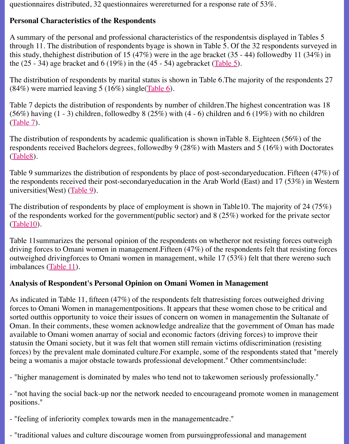the  $(25 - 34)$  age bracket and 6 (19%) in the  $(45 - 54)$  agebracket (Table 5).

The distribution of respondents by marital status is shown in Table 6. The majority of the respondents 27  $(84%)$  were married leaving 5 (16%) single(Table 6).

Table 7 depicts the distribution of respondents by number of children. The highest concentration was 18 (56%) having  $(1 - 3)$  children, followedby 8 (25%) with  $(4 - 6)$  children and 6 (19%) with no (Table 7).

The distribution of respondents by academic qualification is shown inTable 8. Eighteen  $(56\%$ respondents received Bachelors degrees, fol[lowedby](file:///Users/nrahman/Google%20Drive/Dropbox/AWL/AWL%20Aug3/spring99/Al-Lamki/alltb6.html) 9 (28%) with Masters and 5 (16%) with (Table8).

Table 9 summarizes the distribution of respondents by place of post-secondaryeducation. Fif t[he respo](file:///Users/nrahman/Google%20Drive/Dropbox/AWL/AWL%20Aug3/spring99/Al-Lamki/alltb7.html)ndents received their post-secondaryeducation in the Arab World (East) and  $17$  (53 $^{\circ}$ universities(West) (Table 9).

The distribution of respondents by place of employment is shown in Table10. The majority of [of the re](file:///Users/nrahman/Google%20Drive/Dropbox/AWL/AWL%20Aug3/spring99/Al-Lamki/alltb8.html)spondents worked for the government(public sector) and  $8(25%)$  worked for the pri (Table10).

Table 11 summarizes the personal opinion of the respondents on whetheror not resisting force driving forces to O[mani wo](file:///Users/nrahman/Google%20Drive/Dropbox/AWL/AWL%20Aug3/spring99/Al-Lamki/alltb9.html)men in management. Fifteen  $(47%)$  of the respondents felt that re outweighed drivingforces to Omani women in management, while  $17 (53%)$  felt that there w imbalances (Table 11).

#### **[Analysis](file:///Users/nrahman/Google%20Drive/Dropbox/AWL/Al-Lamki/alltb10.html) of Respondent's Personal Opinion on Omani Women in Management**

As indicated in Table 11, fifteen  $(47%)$  of the respondents felt that resisting forces outweighed forces to Omani Women in management positions. It appears that these women chose to be contained sorted out this opportunity to voice their issues of concern on women in management in the  $S<sub>i</sub>$ Oman. In th[eir comm](file:///Users/nrahman/Google%20Drive/Dropbox/AWL/AWL%20Aug3/spring99/Al-Lamki/alltb11.html)ents, these women acknowledge andrealize that the government of Om available to Omani women anarray of social and economic factors (driving forces) to improve statusin the Omani society, but it was felt that women still remain victims of discrimination (resisting) forces) by the prevalent male dominated culture.For example, some of the respondents stated being a womanis a major obstacle towards professional development." Other commentsinclu

- "higher management is dominated by males who tend not to takewomen seriously professionally."

- "not having the social back-up nor the network needed to encourageand promote women in positions."

- "feeling of inferiority complex towards men in the managementcadre."

- "traditional values and culture discourage women from pursuingprofessional and managem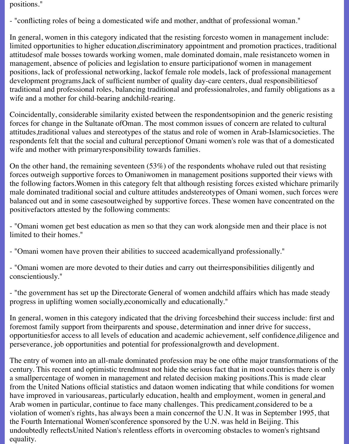positions."

- "conflicting roles of being a domesticated wife and mother, andthat of professional woman."

In general, women in this category indicated that the resisting forcesto women in management include: limited opportunities to higher education,discriminatory appointment and promotion practices, traditional attitudesof male bosses towards working women, male dominated domain, male resistanceto women in management, absence of policies and legislation to ensure participationof women in management positions, lack of professional networking, lackof female role models, lack of professional management development programs,lack of sufficient number of quality day-care centers, dual responsibilitiesof traditional and professional roles, balancing traditional and professionalroles, and family obligations as a wife and a mother for child-bearing andchild-rearing.

Coincidentally, considerable similarity existed between the respondentsopinion and the generic resisting forces for change in the Sultanate ofOman. The most common issues of concern are related to cultural attitudes,traditional values and stereotypes of the status and role of women in Arab-Islamicsocieties. The respondents felt that the social and cultural perceptionof Omani women's role was that of a domesticated wife and mother with primaryresponsibility towards families.

On the other hand, the remaining seventeen (53%) of the respondents whohave ruled out that resisting forces outweigh supportive forces to Omaniwomen in management positions supported their views with the following factors.Women in this category felt that although resisting forces existed whichare primarily male dominated traditional social and culture attitudes andstereotypes of Omani women, such forces were balanced out and in some casesoutweighed by supportive forces. These women have concentrated on the positivefactors attested by the following comments:

- "Omani women get best education as men so that they can work alongside men and their place is not limited to their homes."

- "Omani women have proven their abilities to succeed academicallyand professionally."

- "Omani women are more devoted to their duties and carry out theirresponsibilities diligently and conscientiously."

- "the government has set up the Directorate General of women andchild affairs which has made steady progress in uplifting women socially,economically and educationally."

In general, women in this category indicated that the driving forcesbehind their success include: first and foremost family support from theirparents and spouse, determination and inner drive for success, opportunitiesfor access to all levels of education and academic achievement, self confidence,diligence and perseverance, job opportunities and potential for professionalgrowth and development.

The entry of women into an all-male dominated profession may be one ofthe major transformations of the century. This recent and optimistic trendmust not hide the serious fact that in most countries there is only a smallpercentage of women in management and related decision making positions.This is made clear from the United Nations official statistics and dataon women indicating that while conditions for women have improved in variousareas, particularly education, health and employment, women in general,and Arab women in particular, continue to face many challenges. This predicament,considered to be a violation of women's rights, has always been a main concernof the U.N. It was in September 1995, that the Fourth International Women'sconference sponsored by the U.N. was held in Beijing. This undoubtedly reflectsUnited Nation's relentless efforts in overcoming obstacles to women's rightsand equality.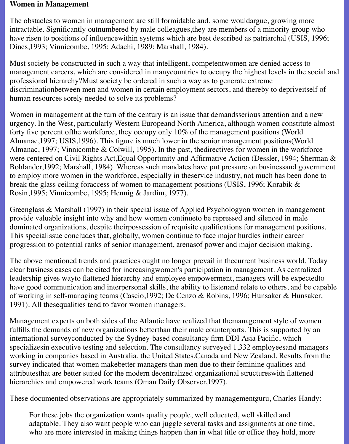#### **Women in Management**

The obstacles to women in management are still formidable and, some wouldargue, growing more intractable. Significantly outnumbered by male colleagues,they are members of a minority group who have risen to positions of influencewithin systems which are best described as patriarchal (USIS, 1996; Dines,1993; Vinnicombe, 1995; Adachi, 1989; Marshall, 1984).

Must society be constructed in such a way that intelligent, competentwomen are denied access to management careers, which are considered in manycountries to occupy the highest levels in the social and professional hierarchy?Must society be ordered in such a way as to generate extreme discriminationbetween men and women in certain employment sectors, and thereby to depriveitself of human resources sorely needed to solve its problems?

Women in management at the turn of the century is an issue that demandsserious attention and a new urgency. In the West, particularly Western Europeand North America, although women constitute almost forty five percent ofthe workforce, they occupy only 10% of the management positions (World Almanac,1997; USIS,1996). This figure is much lower in the senior management positions(World Almanac, 1997; Vinnicombe & Colwill, 1995). In the past, thedirectives for women in the workforce were centered on Civil Rights Act,Equal Opportunity and Affirmative Action (Dessler, 1994; Sherman & Bohlander,1992; Marshall, 1984). Whereas such mandates have put pressure on businessand government to employ more women in the workforce, especially in theservice industry, not much has been done to break the glass ceiling foraccess of women to management positions (USIS, 1996; Korabik & Rosin,1995; Vinnicombe, 1995; Hennig & Jardim, 1977).

Greenglass & Marshall (1997) in their special issue of Applied Psychologyon women in management provide valuable insight into why and how women continueto be repressed and silenced in male dominated organizations, despite theirpossession of requisite qualifications for management positions. This specialissue concludes that, globally, women continue to face major hurdles intheir career progression to potential ranks of senior management, arenasof power and major decision making.

The above mentioned trends and practices ought no longer prevail in thecurrent business world. Today clear business cases can be cited for increasingwomen's participation in management. As centralized leadership gives wayto flattened hierarchy and employee empowerment, managers will be expectedto have good communication and interpersonal skills, the ability to listenand relate to others, and be capable of working in self-managing teams (Cascio,1992; De Cenzo & Robins, 1996; Hunsaker & Hunsaker, 1991). All thesequalities tend to favor women managers.

Management experts on both sides of the Atlantic have realized that themanagement style of women fulfills the demands of new organizations betterthan their male counterparts. This is supported by an international surveyconducted by the Sydney-based consultancy firm DDI Asia Pacific, which specializesin executive testing and selection. The consultancy surveyed 1,332 employeesand managers working in companies based in Australia, the United States,Canada and New Zealand. Results from the survey indicated that women makebetter managers than men due to their feminine qualities and attributesthat are better suited for the modern decentralized organizational structureswith flattened hierarchies and empowered work teams (Oman Daily Observer,1997).

These documented observations are appropriately summarized by managementguru, Charles Handy:

For these jobs the organization wants quality people, well educated, well skilled and adaptable. They also want people who can juggle several tasks and assignments at one time, who are more interested in making things happen than in what title or office they hold, more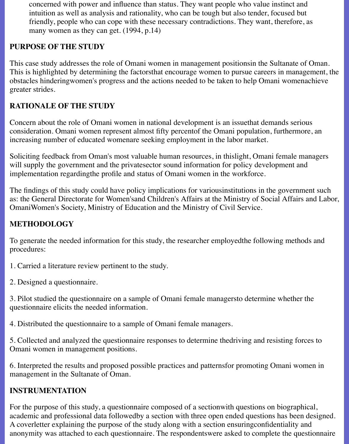concerned with power and influence than status. They want people who value instinct and intuition as well as analysis and rationality, who can be tough but also tender, focused but friendly, people who can cope with these necessary contradictions. They want, therefore, as many women as they can get. (1994, p.14)

### **PURPOSE OF THE STUDY**

This case study addresses the role of Omani women in management positionsin the Sultanate of Oman. This is highlighted by determining the factorsthat encourage women to pursue careers in management, the obstacles hinderingwomen's progress and the actions needed to be taken to help Omani womenachieve greater strides.

### **RATIONALE OF THE STUDY**

Concern about the role of Omani women in national development is an issuethat demands serious consideration. Omani women represent almost fifty percentof the Omani population, furthermore, an increasing number of educated womenare seeking employment in the labor market.

Soliciting feedback from Oman's most valuable human resources, in thislight, Omani female managers will supply the government and the private sector sound information for policy development and implementation regardingthe profile and status of Omani women in the workforce.

The findings of this study could have policy implications for variousinstitutions in the government such as: the General Directorate for Women'sand Children's Affairs at the Ministry of Social Affairs and Labor, OmaniWomen's Society, Ministry of Education and the Ministry of Civil Service.

#### **METHODOLOGY**

To generate the needed information for this study, the researcher employedthe following methods and procedures:

1. Carried a literature review pertinent to the study.

2. Designed a questionnaire.

3. Pilot studied the questionnaire on a sample of Omani female managersto determine whether the questionnaire elicits the needed information.

4. Distributed the questionnaire to a sample of Omani female managers.

5. Collected and analyzed the questionnaire responses to determine thedriving and resisting forces to Omani women in management positions.

6. Interpreted the results and proposed possible practices and patternsfor promoting Omani women in management in the Sultanate of Oman.

#### **INSTRUMENTATION**

For the purpose of this study, a questionnaire composed of a sectionwith questions on biographical, academic and professional data followedby a section with three open ended questions has been designed. A coverletter explaining the purpose of the study along with a section ensuringconfidentiality and anonymity was attached to each questionnaire. The respondentswere asked to complete the questionnaire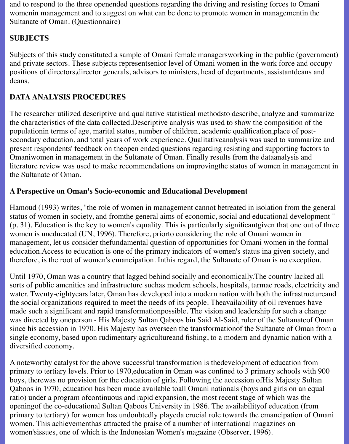and to respond to the three openended questions regarding the driving and resisting forces to Omani womenin management and to suggest on what can be done to promote women in managementin the Sultanate of Oman. (Questionnaire)

# **SUBJECTS**

Subjects of this study constituted a sample of Omani female managersworking in the public (government) and private sectors. These subjects representsenior level of Omani women in the work force and occupy positions of directors,director generals, advisors to ministers, head of departments, assistantdeans and deans.

## **DATA ANALYSIS PROCEDURES**

The researcher utilized descriptive and qualitative statistical methodsto describe, analyze and summarize the characteristics of the data collected.Descriptive analysis was used to show the composition of the populationin terms of age, marital status, number of children, academic qualification,place of postsecondary education, and total years of work experience. Qualitativeanalysis was used to summarize and present respondents' feedback on theopen ended questions regarding resisting and supporting factors to Omaniwomen in management in the Sultanate of Oman. Finally results from the dataanalysis and literature review was used to make recommendations on improvingthe status of women in management in the Sultanate of Oman.

#### **A Perspective on Oman's Socio-economic and Educational Development**

Hamoud (1993) writes, "the role of women in management cannot betreated in isolation from the general status of women in society, and fromthe general aims of economic, social and educational development " (p. 31). Education is the key to women's equality. This is particularly significantgiven that one out of three women is uneducated (UN, 1996). Therefore, priorto considering the role of Omani women in management, let us consider thefundamental question of opportunities for Omani women in the formal education.Access to education is one of the primary indicators of women's status ina given society, and therefore, is the root of women's emancipation. Inthis regard, the Sultanate of Oman is no exception.

Until 1970, Oman was a country that lagged behind socially and economically.The country lacked all sorts of public amenities and infrastructure suchas modern schools, hospitals, tarmac roads, electricity and water. Twenty-eightyears later, Oman has developed into a modern nation with both the infrastructureand the social organizations required to meet the needs of its people. Theavailability of oil revenues have made such a significant and rapid transformationpossible. The vision and leadership for such a change was directed by oneperson - His Majesty Sultan Qaboos bin Said Al-Said, ruler of the Sultanateof Oman since his accession in 1970. His Majesty has overseen the transformationof the Sultanate of Oman from a single economy, based upon rudimentary agricultureand fishing, to a modern and dynamic nation with a diversified economy.

A noteworthy catalyst for the above successful transformation is thedevelopment of education from primary to tertiary levels. Prior to 1970,education in Oman was confined to 3 primary schools with 900 boys, therewas no provision for the education of girls. Following the accession ofHis Majesty Sultan Qaboos in 1970, education has been made available toall Omani nationals (boys and girls on an equal ratio) under a program ofcontinuous and rapid expansion, the most recent stage of which was the openingof the co-educational Sultan Qaboos University in 1986. The availabilityof education (from primary to tertiary) for women has undoubtedly playeda crucial role towards the emancipation of Omani women. This achievementhas attracted the praise of a number of international magazines on women'sissues, one of which is the Indonesian Women's magazine (Observer, 1996).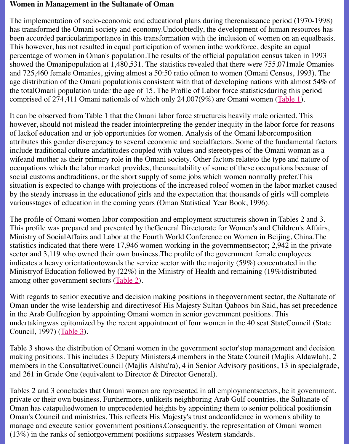showed the Omanipopulation at  $1,480,531$ . The statistics revealed that there were  $755,071$ ma and 725,460 female Omanies, giving almost a 50:50 ratio ofmen to women (Omani Census, age distribution of the Omani populationis consistent with that of developing nations with al the totalOmani population under the age of 15. The Profile of Labor force statisticsduring this comprised of 274,411 Omani nationals of which only 24,007(9%) are Omani women (Table

It can be observed from Table 1 that the Omani labor force structure is heavily male oriented. however, should not mislead the reader intointerpreting the gender inequity in the labor force of lackof education and or job opportunities for women. Analysis of the Omani laborcompos attributes this gender discrepancy to several economic and socialfactors. Some of the fundan include traditional culture andattitudes coupled with values and stereotypes of the Omani wo wifeand mother as their primary role in the Omani society. Other factors relateto the type and occupations which the labor market provides, theunsuitability of some of these occupations l social customs andtraditions, or the short supply of some jobs which women normally prefer situation is expected to change with projections of the increased roleof women in the labor m by the steady increase in the educationof girls and the expectation that thousands of girls will variousstages of education in the coming years (Oman Statistical Year Book, 1996).

The profile of Omani women labor composition and employment structureis shown in Tables This profile was prepared and presented by theGeneral Directorate for Women's and Children Ministry of SocialAffairs and Labor at the Fourth World Conference on Women in Beijing, China. statistics indicated that there were 17,946 women working in the governmentsector; 2,942 in sector and  $3,119$  who owned their own business. The profile of the government female employees indicates a heavy orientationtowards the service sector with the majority  $(59%)$  concentrated Ministry of Education followed by  $(22\%)$  in the Ministry of Health and remaining  $(19\%)$ distri among other government sectors (Table 2).

With regards to senior executive and decision making positions in thegovernment sector, the Oman under the wise leadership and directives of His Majesty Sultan Qaboos bin Said, has set precedence in the Arab Gulfregion by appointing Omani women in senior government positions. This undertakingwas epitomized by the recent appointment of four women in the 40 seat StateCouncil Council, 1997) (Table 3).

Table 3 shows the distribution of [Omani w](file:///Users/nrahman/Google%20Drive/Dropbox/AWL/AWL%20Aug3/spring99/Al-Lamki/alltb2.html)omen in the government sector'stop management making positions. This includes 3 Deputy Ministers, 4 members in the State Council (Majlis) members in the ConsultativeCouncil (Majlis Alshu'ra), 4 in Senior Advisory positions, 13 in and 261 in Grade One (equivalent to Director & Director General).

Tables 2 and 3 c[onclude](file:///Users/nrahman/Google%20Drive/Dropbox/AWL/AWL%20Aug3/spring99/Al-Lamki/alltb3.html)s that Omani women are represented in all employment sectors, be it private or their own business. Furthermore, unlikeits neighboring Arab Gulf countries, the Sultanate of the Su Oman has catapultedwomen to unprecedented heights by appointing them to senior political Oman's Council and ministries. This reflects His Majesty's trust andconfidence in women's a manage and execute senior government positions. Consequently, the representation of Omani (13%) in the ranks of seniorgovernment positions surpasses Western standards.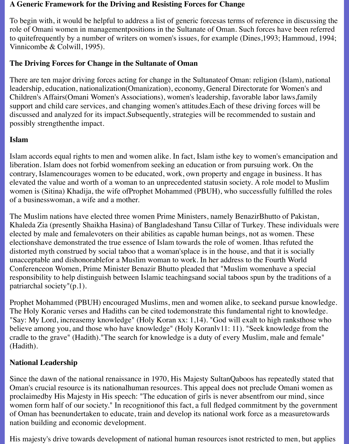#### **A Generic Framework for the Driving and Resisting Forces for Change**

To begin with, it would be helpful to address a list of generic forcesas terms of reference in discussing the role of Omani women in managementpositions in the Sultanate of Oman. Such forces have been referred to quitefrequently by a number of writers on women's issues, for example (Dines,1993; Hammoud, 1994; Vinnicombe & Colwill, 1995).

### **The Driving Forces for Change in the Sultanate of Oman**

There are ten major driving forces acting for change in the Sultanateof Oman: religion (Islam), national leadership, education, nationalization(Omanization), economy, General Directorate for Women's and Children's Affairs(Omani Women's Associations), women's leadership, favorable labor laws,family support and child care services, and changing women's attitudes.Each of these driving forces will be discussed and analyzed for its impact.Subsequently, strategies will be recommended to sustain and possibly strengthenthe impact.

#### **Islam**

Islam accords equal rights to men and women alike. In fact, Islam isthe key to women's emancipation and liberation. Islam does not forbid womenfrom seeking an education or from pursuing work. On the contrary, Islamencourages women to be educated, work, own property and engage in business. It has elevated the value and worth of a woman to an unprecedented statusin society. A role model to Muslim women is (Sitina) Khadija, the wife ofProphet Mohammed (PBUH), who successfully fulfilled the roles of a businesswoman, a wife and a mother.

The Muslim nations have elected three women Prime Ministers, namely BenazirBhutto of Pakistan, Khaleda Zia (presently Shaikha Hasina) of Bangladeshand Tansu Cillar of Turkey. These individuals were elected by male and femalevoters on their abilities as capable human beings, not as women. These electionshave demonstrated the true essence of Islam towards the role of women. Ithas refuted the distorted myth construed by social taboo that a woman'splace is in the house, and that it is socially unacceptable and dishonorablefor a Muslim woman to work. In her address to the Fourth World Conferenceon Women, Prime Minister Benazir Bhutto pleaded that "Muslim womenhave a special responsibility to help distinguish between Islamic teachingsand social taboos spun by the traditions of a patriarchal society"(p.1).

Prophet Mohammed (PBUH) encouraged Muslims, men and women alike, to seekand pursue knowledge. The Holy Koranic verses and Hadiths can be cited todemonstrate this fundamental right to knowledge. "Say: My Lord, increasemy knowledge" (Holy Koran xx: 1,14). "God will exalt to high ranksthose who believe among you, and those who have knowledge" (Holy Koranlv11: 11). "Seek knowledge from the cradle to the grave" (Hadith)."The search for knowledge is a duty of every Muslim, male and female" (Hadith).

## **National Leadership**

Since the dawn of the national renaissance in 1970, His Majesty SultanQaboos has repeatedly stated that Oman's crucial resource is its nationalhuman resources. This appeal does not preclude Omani women as proclaimedby His Majesty in His speech: "The education of girls is never absentfrom our mind, since women form half of our society." In recognitionof this fact, a full fledged commitment by the government of Oman has beenundertaken to educate, train and develop its national work force as a measuretowards nation building and economic development.

His majesty's drive towards development of national human resources isnot restricted to men, but applies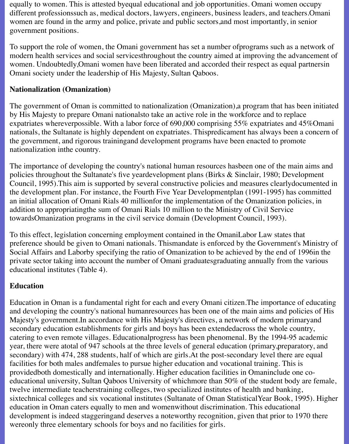equally to women. This is attested byequal educational and job opportunities. Omani women occupy different professionssuch as, medical doctors, lawyers, engineers, business leaders, and teachers.Omani women are found in the army and police, private and public sectors,and most importantly, in senior government positions.

To support the role of women, the Omani government has set a number ofprograms such as a network of modern health services and social servicesthroughout the country aimed at improving the advancement of women. Undoubtedly,Omani women have been liberated and accorded their respect as equal partnersin Omani society under the leadership of His Majesty, Sultan Qaboos.

### **Nationalization (Omanization)**

The government of Oman is committed to nationalization (Omanization),a program that has been initiated by His Majesty to prepare Omani nationalsto take an active role in the workforce and to replace expatriates whereverpossible. With a labor force of 690,000 comprising 55% expatriates and 45%Omani nationals, the Sultanate is highly dependent on expatriates. Thispredicament has always been a concern of the government, and rigorous trainingand development programs have been enacted to promote nationalization inthe country.

The importance of developing the country's national human resources hasbeen one of the main aims and policies throughout the Sultanate's five yeardevelopment plans (Birks & Sinclair, 1980; Development Council, 1995).This aim is supported by several constructive policies and measures clearlydocumented in the development plan. For instance, the Fourth Five Year Developmentplan (1991-1995) has committed an initial allocation of Omani Rials 40 millionfor the implementation of the Omanization policies, in addition to appropriatingthe sum of Omani Rials 10 million to the Ministry of Civil Service towardsOmanization programs in the civil service domain (Development Council, 1993).

To this effect, legislation concerning employment contained in the OmaniLabor Law states that preference should be given to Omani nationals. Thismandate is enforced by the Government's Ministry of Social Affairs and Laborby specifying the ratio of Omanization to be achieved by the end of 1996in the private sector taking into account the number of Omani graduatesgraduating annually from the various educational institutes (Table 4).

## **Education**

Education in Oman is a fundamental right for each and every Omani citizen.The importance of educating and developing the country's national humanresources has been one of the main aims and policies of His Majesty's government.In accordance with His Majesty's directives, a network of modern primaryand secondary education establishments for girls and boys has been extendedacross the whole country, catering to even remote villages. Educationalprogress has been phenomenal. By the 1994-95 academic year, there were atotal of 947 schools at the three levels of general education (primary,preparatory, and secondary) with 474, 288 students, half of which are girls.At the post-secondary level there are equal facilities for both males andfemales to pursue higher education and vocational training. This is providedboth domestically and internationally. Higher education facilities in Omaninclude one coeducational university, Sultan Qaboos University of whichmore than 50% of the student body are female, twelve intermediate teacherstraining colleges, two specialized institutes of health and banking, sixtechnical colleges and six vocational institutes (Sultanate of Oman StatisticalYear Book, 1995). Higher education in Oman caters equally to men and womenwithout discrimination. This educational development is indeed staggeringand deserves a noteworthy recognition, given that prior to 1970 there wereonly three elementary schools for boys and no facilities for girls.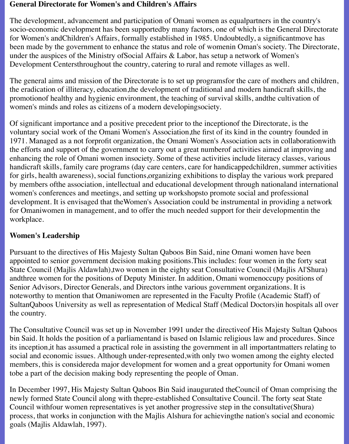#### **General Directorate for Women's and Children's Affairs**

The development, advancement and participation of Omani women as equalpartners in the country's socio-economic development has been supportedby many factors, one of which is the General Directorate for Women's andChildren's Affairs, formally established in 1985. Undoubtedly, a significantmove has been made by the government to enhance the status and role of womenin Oman's society. The Directorate, under the auspices of the Ministry ofSocial Affairs & Labor, has setup a network of Women's Development Centersthroughout the country, catering to rural and remote villages as well.

The general aims and mission of the Directorate is to set up programsfor the care of mothers and children, the eradication of illiteracy, education,the development of traditional and modern handicraft skills, the promotionof healthy and hygienic environment, the teaching of survival skills, andthe cultivation of women's minds and roles as citizens of a modern developingsociety.

Of significant importance and a positive precedent prior to the inceptionof the Directorate, is the voluntary social work of the Omani Women's Association,the first of its kind in the country founded in 1971. Managed as a not forprofit organization, the Omani Women's Association acts in collaborationwith the efforts and support of the government to carry out a great numberof activities aimed at improving and enhancing the role of Omani women insociety. Some of these activities include literacy classes, various handicraft skills, family care programs (day care centers, care for handicappedchildren, summer activities for girls, health awareness), social functions,organizing exhibitions to display the various work prepared by members ofthe association, intellectual and educational development through nationaland international women's conferences and meetings, and setting up workshopsto promote social and professional development. It is envisaged that theWomen's Association could be instrumental in providing a network for Omaniwomen in management, and to offer the much needed support for their developmentin the workplace.

#### **Women's Leadership**

Pursuant to the directives of His Majesty Sultan Qaboos Bin Said, nine Omani women have been appointed to senior government decision making positions.This includes: four women in the forty seat State Council (Majlis Aldawlah),two women in the eighty seat Consultative Council (Majlis Al'Shura) andthree women for the positions of Deputy Minister. In addition, Omani womenoccupy positions of Senior Advisors, Director Generals, and Directors inthe various government organizations. It is noteworthy to mention that Omaniwomen are represented in the Faculty Profile (Academic Staff) of SultanQaboos University as well as representation of Medical Staff (Medical Doctors)in hospitals all over the country.

The Consultative Council was set up in November 1991 under the directiveof His Majesty Sultan Qaboos bin Said. It holds the position of a parliamentand is based on Islamic religious law and procedures. Since its inception,it has assumed a practical role in assisting the government in all importantmatters relating to social and economic issues. Although under-represented,with only two women among the eighty elected members, this is considereda major development for women and a great opportunity for Omani women tobe a part of the decision making body representing the people of Oman.

In December 1997, His Majesty Sultan Qaboos Bin Said inaugurated theCouncil of Oman comprising the newly formed State Council along with thepre-established Consultative Council. The forty seat State Council withfour women representatives is yet another progressive step in the consultative(Shura) process, that works in conjunction with the Majlis Alshura for achievingthe nation's social and economic goals (Majlis Aldawlah, 1997).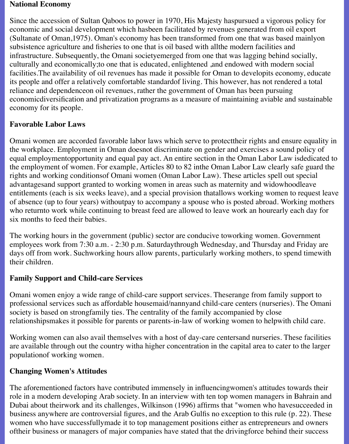#### **National Economy**

Since the accession of Sultan Qaboos to power in 1970, His Majesty haspursued a vigorous policy for economic and social development which hasbeen facilitated by revenues generated from oil export (Sultanate of Oman,1975). Oman's economy has been transformed from one that was based mainlyon subsistence agriculture and fisheries to one that is oil based with allthe modern facilities and infrastructure. Subsequently, the Omani societyemerged from one that was lagging behind socially, culturally and economically;to one that is educated, enlightened ,and endowed with modern social facilities.The availability of oil revenues has made it possible for Oman to developits economy, educate its people and offer a relatively comfortable standardof living. This however, has not rendered a total reliance and dependenceon oil revenues, rather the government of Oman has been pursuing economicdiversification and privatization programs as a measure of maintaining aviable and sustainable economy for its people.

#### **Favorable Labor Laws**

Omani women are accorded favorable labor laws which serve to protecttheir rights and ensure equality in the workplace. Employment in Oman doesnot discriminate on gender and exercises a sound policy of equal employmentopportunity and equal pay act. An entire section in the Oman Labor Law isdedicated to the employment of women. For example, Articles 80 to 82 inthe Oman Labor Law clearly safe guard the rights and working conditionsof Omani women (Oman Labor Law). These articles spell out special advantagesand support granted to working women in areas such as maternity and widowhoodleave entitlements (each is six weeks leave), and a special provision thatallows working women to request leave of absence (up to four years) withoutpay to accompany a spouse who is posted abroad. Working mothers who returnto work while continuing to breast feed are allowed to leave work an hourearly each day for six months to feed their babies.

The working hours in the government (public) sector are conducive toworking women. Government employees work from 7:30 a.m. - 2:30 p.m. Saturdaythrough Wednesday, and Thursday and Friday are days off from work. Suchworking hours allow parents, particularly working mothers, to spend timewith their children.

#### **Family Support and Child-care Services**

Omani women enjoy a wide range of child-care support services. Theserange from family support to professional services such as affordable housemaid/nannyand child-care centers (nurseries). The Omani society is based on strongfamily ties. The centrality of the family accompanied by close relationshipsmakes it possible for parents or parents-in-law of working women to helpwith child care.

Working women can also avail themselves with a host of day-care centersand nurseries. These facilities are available through out the country witha higher concentration in the capital area to cater to the larger populationof working women.

#### **Changing Women's Attitudes**

The aforementioned factors have contributed immensely in influencingwomen's attitudes towards their role in a modern developing Arab society. In an interview with ten top women managers in Bahrain and Dubai about theirwork and its challenges, Wilkinson (1996) affirms that "women who havesucceeded in business anywhere are controversial figures, and the Arab Gulfis no exception to this rule (p. 22). These women who have successfullymade it to top management positions either as entrepreneurs and owners oftheir business or managers of major companies have stated that the drivingforce behind their success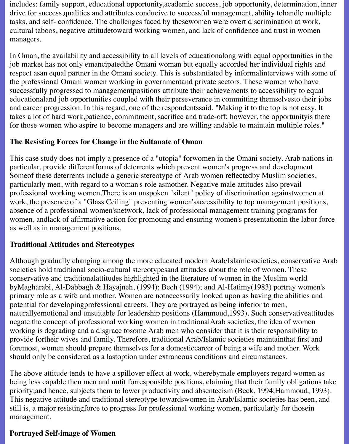includes: family support, educational opportunity,academic success, job opportunity, determination, inner drive for success,qualities and attributes conducive to successful management, ability tohandle multiple tasks, and self- confidence. The challenges faced by thesewomen were overt discrimination at work, cultural taboos, negative attitudetoward working women, and lack of confidence and trust in women managers.

In Oman, the availability and accessibility to all levels of educationalong with equal opportunities in the job market has not only emancipatedthe Omani woman but equally accorded her individual rights and respect asan equal partner in the Omani society. This is substantiated by informalinterviews with some of the professional Omani women working in governmentand private sectors. These women who have successfully progressed to managementpositions attribute their achievements to accessibility to equal educationaland job opportunities coupled with their perseverance in committing themselvesto their jobs and career progression. In this regard, one of the respondentssaid, "Making it to the top is not easy. It takes a lot of hard work,patience, commitment, sacrifice and trade-off; however, the opportunityis there for those women who aspire to become managers and are willing andable to maintain multiple roles."

#### **The Resisting Forces for Change in the Sultanate of Oman**

This case study does not imply a presence of a "utopia" forwomen in the Omani society. Arab nations in particular, provide differentforms of deterrents which prevent women's progress and development. Someof these deterrents include a generic stereotype of Arab women reflectedby Muslim societies, particularly men, with regard to a woman's role asmother. Negative male attitudes also prevail professional working women.There is an unspoken "silent" policy of discrimination againstwomen at work, the presence of a "Glass Ceiling" preventing women'saccessibility to top management positions, absence of a professional women'snetwork, lack of professional management training programs for women, andlack of affirmative action for promoting and ensuring women's presentationin the labor force as well as in management positions.

#### **Traditional Attitudes and Stereotypes**

Although gradually changing among the more educated modern Arab/Islamicsocieties, conservative Arab societies hold traditional socio-cultural stereotypesand attitudes about the role of women. These conservative and traditionalattitudes highlighted in the literature of women in the Muslim world byMagharabi, Al-Dabbagh & Hayajneh, (1994); Bech (1994); and Al-Hatimy(1983) portray women's primary role as a wife and mother. Women are notnecessarily looked upon as having the abilities and potential for developingprofessional careers. They are portrayed as being inferior to men, naturallyemotional and unsuitable for leadership positions (Hammoud,1993). Such conservativeattitudes negate the concept of professional working women in traditionalArab societies, the idea of women working is degrading and a disgrace tosome Arab men who consider that it is their responsibility to provide fortheir wives and family. Therefore, traditional Arab/Islamic societies maintainthat first and foremost, women should prepare themselves for a domesticcareer of being a wife and mother. Work should only be considered as a lastoption under extraneous conditions and circumstances.

The above attitude tends to have a spillover effect at work, wherebymale employers regard women as being less capable then men and unfit forresponsible positions, claiming that their family obligations take priority;and hence, subjects them to lower productivity and absenteeism (Beck, 1994;Hammoud, 1993). This negative attitude and traditional stereotype towardswomen in Arab/Islamic societies has been, and still is, a major resistingforce to progress for professional working women, particularly for thosein management.

#### **Portrayed Self-image of Women**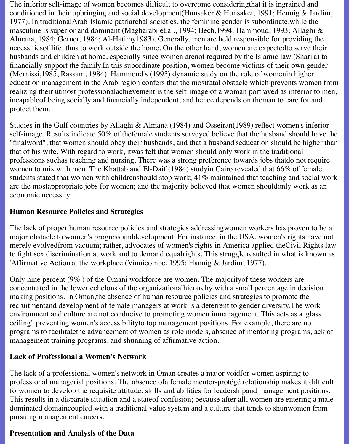The inferior self-image of women becomes difficult to overcome consideringthat it is ingrained and conditioned in their upbringing and social development(Hunsaker & Hunsaker, 1991; Hennig & Jardim, 1977). In traditionalArab-Islamic patriarchal societies, the feminine gender is subordinate,while the masculine is superior and dominant (Magharabi et.al., 1994; Bech,1994; Hammoud, 1993; Allaghi & Almana, 1984; Gerner, 1984; Al-Hatimy1983). Generally, men are held responsible for providing the necessitiesof life, thus to work outside the home. On the other hand, women are expectedto serve their husbands and children at home, especially since women arenot required by the Islamic law (Shari'a) to financially support the family.In this subordinate position, women become victims of their own gender (Mernissi,1985, Rassam, 1984). Hammoud's (1993) dynamic study on the role of womenin higher education management in the Arab region confers that the mostfatal obstacle which prevents women from realizing their utmost professionalachievement is the self-image of a woman portrayed as inferior to men, incapableof being socially and financially independent, and hence depends on theman to care for and protect them.

Studies in the Gulf countries by Allaghi & Almana (1984) and Osseiran(1989) reflect women's inferior self-image. Results indicate 50% of thefemale students surveyed believe that the husband should have the "finalword", that women should obey their husbands, and that a husband'seducation should be higher than that of his wife. With regard to work, itwas felt that women should only work in the traditional professions suchas teaching and nursing. There was a strong preference towards jobs thatdo not require women to mix with men. The Khattab and El-Daif (1984) studyin Cairo revealed that 66% of female students stated that women with childrenshould stop work; 41% maintained that teaching and social work are the mostappropriate jobs for women; and the majority believed that women shouldonly work as an economic necessity.

#### **Human Resource Policies and Strategies**

The lack of proper human resource policies and strategies addressingwomen workers has proven to be a major obstacle to women's progress anddevelopment. For instance, in the USA, women's rights have not merely evolvedfrom vacuum; rather, advocates of women's rights in America applied theCivil Rights law to fight sex discrimination at work and to demand equalrights. This struggle resulted in what is known as 'Affirmative Action'at the workplace (Vinnicombe, 1995; Hannig & Jardim, 1977).

Only nine percent (9% ) of the Omani workforce are women. The majorityof these workers are concentrated in the lower echelons of the organizationalhierarchy with a small percentage in decision making positions. In Oman,the absence of human resource policies and strategies to promote the recruitmentand development of female managers at work is a deterrent to gender diversity.The work environment and culture are not conducive to promoting women inmanagement. This acts as a 'glass ceiling" preventing women's accessibilityto top management positions. For example, there are no programs to facilitatethe advancement of women as role models, absence of mentoring programs,lack of management training programs, and shunning of affirmative action.

#### **Lack of Professional a Women's Network**

The lack of a professional women's network in Oman creates a major voidfor women aspiring to professional managerial positions. The absence ofa female mentor-protégé relationship makes it difficult forwomen to develop the requisite attitude, skills and abilities for leadershipand management positions. This results in a disparate situation and a stateof confusion; because after all, women are entering a male dominated domaincoupled with a traditional value system and a culture that tends to shunwomen from pursuing management careers.

#### **Presentation and Analysis of the Data**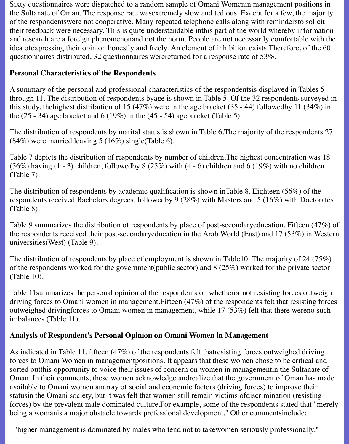Sixty questionnaires were dispatched to a random sample of Omani Womenin management positions in the Sultanate of Oman. The response rate wasextremely slow and tedious. Except for a few, the majority of the respondentswere not cooperative. Many repeated telephone calls along with remindersto solicit their feedback were necessary. This is quite understandable inthis part of the world whereby information and research are a foreign phenomenonand not the norm. People are not necessarily comfortable with the idea ofexpressing their opinion honestly and freely. An element of inhibition exists.Therefore, of the 60 questionnaires distributed, 32 questionnaires werereturned for a response rate of 53%.

## **Personal Characteristics of the Respondents**

A summary of the personal and professional characteristics of the respondentsis displayed in Tables 5 through 11. The distribution of respondents byage is shown in Table 5. Of the 32 respondents surveyed in this study, thehighest distribution of 15 (47%) were in the age bracket (35 - 44) followedby 11 (34%) in the  $(25 - 34)$  age bracket and  $6 (19\%)$  in the  $(45 - 54)$  agebracket (Table 5).

The distribution of respondents by marital status is shown in Table 6.The majority of the respondents 27  $(84\%)$  were married leaving 5 (16%) single (Table 6).

Table 7 depicts the distribution of respondents by number of children.The highest concentration was 18 (56%) having  $(1 - 3)$  children, followedby 8 (25%) with  $(4 - 6)$  children and 6 (19%) with no children (Table 7).

The distribution of respondents by academic qualification is shown inTable 8. Eighteen (56%) of the respondents received Bachelors degrees, followedby 9 (28%) with Masters and 5 (16%) with Doctorates (Table 8).

Table 9 summarizes the distribution of respondents by place of post-secondaryeducation. Fifteen (47%) of the respondents received their post-secondaryeducation in the Arab World (East) and 17 (53%) in Western universities(West) (Table 9).

The distribution of respondents by place of employment is shown in Table10. The majority of 24 (75%) of the respondents worked for the government(public sector) and 8 (25%) worked for the private sector (Table 10).

Table 11summarizes the personal opinion of the respondents on whetheror not resisting forces outweigh driving forces to Omani women in management.Fifteen (47%) of the respondents felt that resisting forces outweighed drivingforces to Omani women in management, while 17 (53%) felt that there wereno such imbalances (Table 11).

# **Analysis of Respondent's Personal Opinion on Omani Women in Management**

As indicated in Table 11, fifteen (47%) of the respondents felt thatresisting forces outweighed driving forces to Omani Women in managementpositions. It appears that these women chose to be critical and sorted outthis opportunity to voice their issues of concern on women in managementin the Sultanate of Oman. In their comments, these women acknowledge andrealize that the government of Oman has made available to Omani women anarray of social and economic factors (driving forces) to improve their statusin the Omani society, but it was felt that women still remain victims ofdiscrimination (resisting forces) by the prevalent male dominated culture.For example, some of the respondents stated that "merely being a womanis a major obstacle towards professional development." Other commentsinclude:

- "higher management is dominated by males who tend not to takewomen seriously professionally."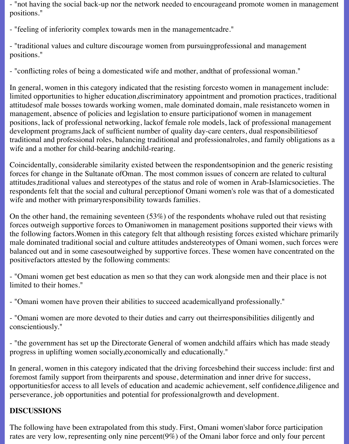- "not having the social back-up nor the network needed to encourageand promote women in management positions."

- "feeling of inferiority complex towards men in the managementcadre."

- "traditional values and culture discourage women from pursuingprofessional and management positions."

- "conflicting roles of being a domesticated wife and mother, andthat of professional woman."

In general, women in this category indicated that the resisting forcesto women in management include: limited opportunities to higher education,discriminatory appointment and promotion practices, traditional attitudesof male bosses towards working women, male dominated domain, male resistanceto women in management, absence of policies and legislation to ensure participationof women in management positions, lack of professional networking, lackof female role models, lack of professional management development programs,lack of sufficient number of quality day-care centers, dual responsibilitiesof traditional and professional roles, balancing traditional and professionalroles, and family obligations as a wife and a mother for child-bearing andchild-rearing.

Coincidentally, considerable similarity existed between the respondentsopinion and the generic resisting forces for change in the Sultanate ofOman. The most common issues of concern are related to cultural attitudes,traditional values and stereotypes of the status and role of women in Arab-Islamicsocieties. The respondents felt that the social and cultural perceptionof Omani women's role was that of a domesticated wife and mother with primaryresponsibility towards families.

On the other hand, the remaining seventeen (53%) of the respondents whohave ruled out that resisting forces outweigh supportive forces to Omaniwomen in management positions supported their views with the following factors.Women in this category felt that although resisting forces existed whichare primarily male dominated traditional social and culture attitudes andstereotypes of Omani women, such forces were balanced out and in some casesoutweighed by supportive forces. These women have concentrated on the positivefactors attested by the following comments:

- "Omani women get best education as men so that they can work alongside men and their place is not limited to their homes."

- "Omani women have proven their abilities to succeed academicallyand professionally."

- "Omani women are more devoted to their duties and carry out theirresponsibilities diligently and conscientiously."

- "the government has set up the Directorate General of women andchild affairs which has made steady progress in uplifting women socially,economically and educationally."

In general, women in this category indicated that the driving forcesbehind their success include: first and foremost family support from theirparents and spouse, determination and inner drive for success, opportunitiesfor access to all levels of education and academic achievement, self confidence,diligence and perseverance, job opportunities and potential for professionalgrowth and development.

## **DISCUSSIONS**

The following have been extrapolated from this study. First, Omani women'slabor force participation rates are very low, representing only nine percent(9%) of the Omani labor force and only four percent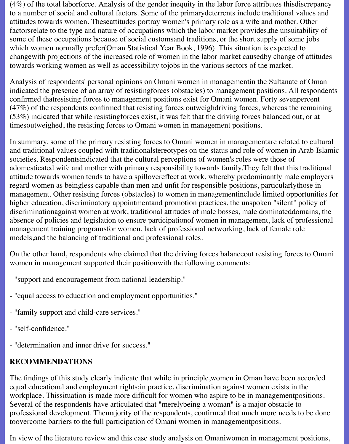(4%) of the total laborforce. Analysis of the gender inequity in the labor force attributes thisdiscrepancy to a number of social and cultural factors. Some of the primarydeterrents include traditional values and attitudes towards women. Theseattitudes portray women's primary role as a wife and mother. Other factorsrelate to the type and nature of occupations which the labor market provides,the unsuitability of some of these occupations because of social customsand traditions, or the short supply of some jobs which women normally prefer(Oman Statistical Year Book, 1996). This situation is expected to changewith projections of the increased role of women in the labor market causedby change of attitudes towards working women as well as accessibility tojobs in the various sectors of the market.

Analysis of respondents' personal opinions on Omani women in managementin the Sultanate of Oman indicated the presence of an array of resistingforces (obstacles) to management positions. All respondents confirmed thatresisting forces to management positions exist for Omani women. Forty sevenpercent (47%) of the respondents confirmed that resisting forces outweighdriving forces, whereas the remaining (53%) indicated that while resistingforces exist, it was felt that the driving forces balanced out, or at timesoutweighed, the resisting forces to Omani women in management positions.

In summary, some of the primary resisting forces to Omani women in managementare related to cultural and traditional values coupled with traditionalstereotypes on the status and role of women in Arab-Islamic societies. Respondentsindicated that the cultural perceptions of women's roles were those of adomesticated wife and mother with primary responsibility towards family.They felt that this traditional attitude towards women tends to have a spillovereffect at work, whereby predominantly male employers regard women as beingless capable than men and unfit for responsible positions, particularlythose in management. Other resisting forces (obstacles) to women in managementinclude limited opportunities for higher education, discriminatory appointmentand promotion practices, the unspoken "silent" policy of discriminationagainst women at work, traditional attitudes of male bosses, male dominateddomains, the absence of policies and legislation to ensure participationof women in management, lack of professional management training programsfor women, lack of professional networking, lack of female role models,and the balancing of traditional and professional roles.

On the other hand, respondents who claimed that the driving forces balanceout resisting forces to Omani women in management supported their positionwith the following comments:

- "support and encouragement from national leadership."
- "equal access to education and employment opportunities."
- "family support and child-care services."
- "self-confidence."
- "determination and inner drive for success."

# **RECOMMENDATIONS**

The findings of this study clearly indicate that while in principle,women in Oman have been accorded equal educational and employment rights;in practice, discrimination against women exists in the workplace. Thissituation is made more difficult for women who aspire to be in managementpositions. Several of the respondents have articulated that "merelybeing a woman" is a major obstacle to professional development. Themajority of the respondents, confirmed that much more needs to be done toovercome barriers to the full participation of Omani women in managementpositions.

In view of the literature review and this case study analysis on Omaniwomen in management positions,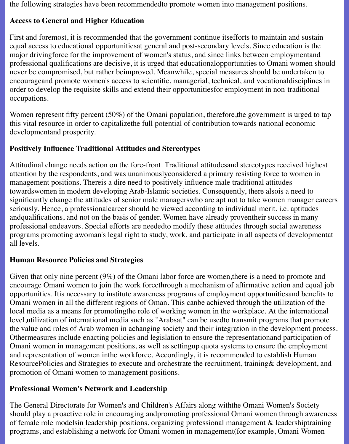the following strategies have been recommendedto promote women into management positions.

### **Access to General and Higher Education**

First and foremost, it is recommended that the government continue itsefforts to maintain and sustain equal access to educational opportunitiesat general and post-secondary levels. Since education is the major drivingforce for the improvement of women's status, and since links between employmentand professional qualifications are decisive, it is urged that educationalopportunities to Omani women should never be compromised, but rather beimproved. Meanwhile, special measures should be undertaken to encourageand promote women's access to scientific, managerial, technical, and vocationaldisciplines in order to develop the requisite skills and extend their opportunitiesfor employment in non-traditional occupations.

Women represent fifty percent (50%) of the Omani population, therefore, the government is urged to tap this vital resource in order to capitalizethe full potential of contribution towards national economic developmentand prosperity.

## **Positively Influence Traditional Attitudes and Stereotypes**

Attitudinal change needs action on the fore-front. Traditional attitudesand stereotypes received highest attention by the respondents, and was unanimouslyconsidered a primary resisting force to women in management positions. Thereis a dire need to positively influence male traditional attitudes towardswomen in modern developing Arab-Islamic societies. Consequently, there alsois a need to significantly change the attitudes of senior male managerswho are apt not to take women manager careers seriously. Hence, a professionalcareer should be viewed according to individual merit, i.e. aptitudes andqualifications, and not on the basis of gender. Women have already proventheir success in many professional endeavors. Special efforts are neededto modify these attitudes through social awareness programs promoting awoman's legal right to study, work, and participate in all aspects of developmentat all levels.

## **Human Resource Policies and Strategies**

Given that only nine percent (9%) of the Omani labor force are women,there is a need to promote and encourage Omani women to join the work forcethrough a mechanism of affirmative action and equal job opportunities. Itis necessary to institute awareness programs of employment opportunitiesand benefits to Omani women in all the different regions of Oman. This canbe achieved through the utilization of the local media as a means for promotingthe role of working women in the workplace. At the international level,utilization of international media such as "Arabsat" can be usedto transmit programs that promote the value and roles of Arab women in achanging society and their integration in the development process. Othermeasures include enacting policies and legislation to ensure the representationand participation of Omani women in management positions, as well as settingup quota systems to ensure the employment and representation of women inthe workforce. Accordingly, it is recommended to establish Human ResourcePolicies and Strategies to execute and orchestrate the recruitment, training& development, and promotion of Omani women to management positions.

## **Professional Women's Network and Leadership**

The General Directorate for Women's and Children's Affairs along withthe Omani Women's Society should play a proactive role in encouraging andpromoting professional Omani women through awareness of female role modelsin leadership positions, organizing professional management & leadershiptraining programs, and establishing a network for Omani women in management(for example, Omani Women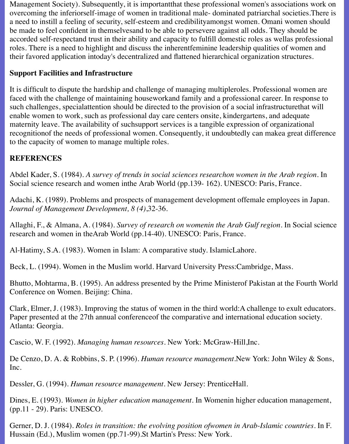Management Society). Subsequently, it is importantthat these professional women's associations work on overcoming the inferiorself-image of women in traditional male- dominated patriarchal societies.There is a need to instill a feeling of security, self-esteem and credibilityamongst women. Omani women should be made to feel confident in themselvesand to be able to persevere against all odds. They should be accorded self-respectand trust in their ability and capacity to fulfill domestic roles as wellas professional roles. There is a need to highlight and discuss the inherentfeminine leadership qualities of women and their favored application intoday's decentralized and flattened hierarchical organization structures.

#### **Support Facilities and Infrastructure**

It is difficult to dispute the hardship and challenge of managing multipleroles. Professional women are faced with the challenge of maintaining houseworkand family and a professional career. In response to such challenges, specialattention should be directed to the provision of a social infrastructurethat will enable women to work, such as professional day care centers onsite, kindergartens, and adequate maternity leave. The availability of suchsupport services is a tangible expression of organizational recognitionof the needs of professional women. Consequently, it undoubtedly can makea great difference to the capacity of women to manage multiple roles.

### **REFERENCES**

Abdel Kader, S. (1984). *A survey of trends in social sciences researchon women in the Arab region.* In Social science research and women inthe Arab World (pp.139- 162). UNESCO: Paris, France.

Adachi, K. (1989). Problems and prospects of management development offemale employees in Japan. *Journal of Management Development, 8 (4)*,32-36.

Allaghi, F., & Almana, A. (1984). *Survey of research on womenin the Arab Gulf region.* In Social science research and women in theArab World (pp.14-40). UNESCO: Paris, France.

Al-Hatimy, S.A. (1983). Women in Islam: A comparative study. IslamicLahore.

Beck, L. (1994). Women in the Muslim world. Harvard University Press:Cambridge, Mass.

Bhutto, Mohtarma, B. (1995). An address presented by the Prime Ministerof Pakistan at the Fourth World Conference on Women. Beijing: China.

Clark, Elmer, J. (1983). Improving the status of women in the third world:A challenge to exult educators. Paper presented at the 27th annual conferenceof the comparative and international education society. Atlanta: Georgia.

Cascio, W. F. (1992). *Managing human resources.* New York: McGraw-Hill,Inc.

De Cenzo, D. A. & Robbins, S. P. (1996). *Human resource management*.New York: John Wiley & Sons, Inc.

Dessler, G. (1994). *Human resource management.* New Jersey: PrenticeHall.

Dines, E. (1993). *Women in higher education management*. In Womenin higher education management, (pp.11 - 29). Paris: UNESCO.

Gerner, D. J. (1984). *Roles in transition: the evolving position ofwomen in Arab-Islamic countries.* In F. Hussain (Ed.), Muslim women (pp.71-99).St Martin's Press: New York.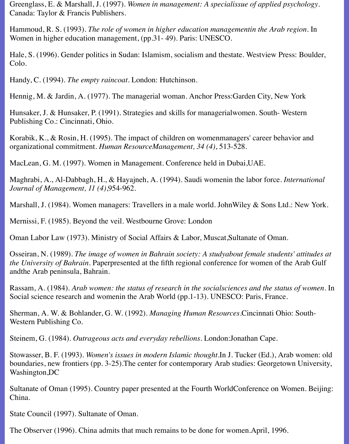Greenglass, E. & Marshall, J. (1997). *Women in management: A specialissue of applied psychology*. Canada: Taylor & Francis Publishers.

Hammoud, R. S. (1993). *The role of women in higher education managementin the Arab region*. In Women in higher education management, (pp.31- 49). Paris: UNESCO.

Hale, S. (1996). Gender politics in Sudan: Islamism, socialism and thestate. Westview Press: Boulder, Colo.

Handy, C. (1994). *The empty raincoat*. London: Hutchinson.

Hennig, M. & Jardin, A. (1977). The managerial woman. Anchor Press:Garden City, New York

Hunsaker, J. & Hunsaker, P. (1991). Strategies and skills for managerialwomen. South- Western Publishing Co.: Cincinnati, Ohio.

Korabik, K., & Rosin, H. (1995). The impact of children on womenmanagers' career behavior and organizational commitment. *Human ResourceManagement, 34 (4)*, 513-528.

MacLean, G. M. (1997). Women in Management. Conference held in Dubai,UAE.

Maghrabi, A., Al-Dabbagh, H., & Hayajneh, A. (1994). Saudi womenin the labor force. *International Journal of Management, 11 (4)*,954-962.

Marshall, J. (1984). Women managers: Travellers in a male world. JohnWiley & Sons Ltd.: New York.

Mernissi, F. (1985). Beyond the veil. Westbourne Grove: London

Oman Labor Law (1973). Ministry of Social Affairs & Labor, Muscat,Sultanate of Oman.

Osseiran, N. (1989). *The image of women in Bahrain society: A studyabout female students' attitudes at the University of Bahrain.* Paperpresented at the fifth regional conference for women of the Arab Gulf andthe Arab peninsula, Bahrain.

Rassam, A. (1984). *Arab women: the status of research in the socialsciences and the status of women.* In Social science research and womenin the Arab World (pp.1-13). UNESCO: Paris, France.

Sherman, A. W. & Bohlander, G. W. (1992). *Managing Human Resources*.Cincinnati Ohio: South-Western Publishing Co.

Steinem, G. (1984). *Outrageous acts and everyday rebellions.* London:Jonathan Cape.

Stowasser, B. F. (1993). *Women's issues in modern Islamic thought.*In J. Tucker (Ed.), Arab women: old boundaries, new frontiers (pp. 3-25).The center for contemporary Arab studies: Georgetown University, Washington,DC

Sultanate of Oman (1995). Country paper presented at the Fourth WorldConference on Women. Beijing: China.

State Council (1997). Sultanate of Oman.

The Observer (1996). China admits that much remains to be done for women.April, 1996.